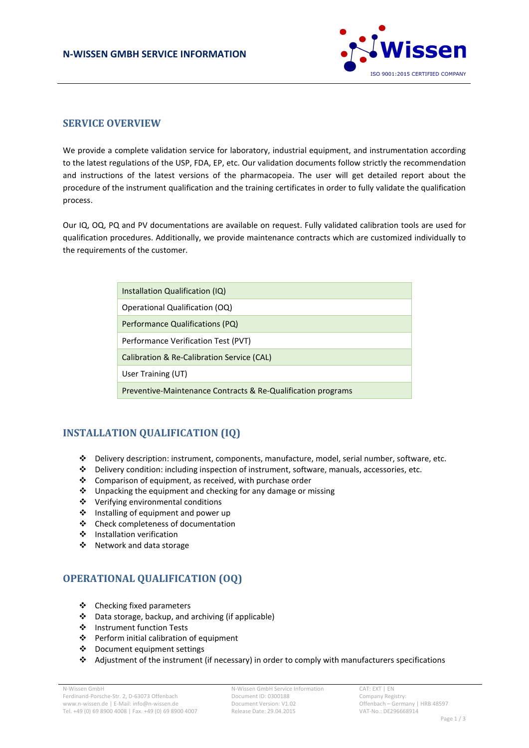

### **SERVICE OVERVIEW**

We provide a complete validation service for laboratory, industrial equipment, and instrumentation according to the latest regulations of the USP, FDA, EP, etc. Our validation documents follow strictly the recommendation and instructions of the latest versions of the pharmacopeia. The user will get detailed report about the procedure of the instrument qualification and the training certificates in order to fully validate the qualification process.

Our IQ, OQ, PQ and PV documentations are available on request. Fully validated calibration tools are used for qualification procedures. Additionally, we provide maintenance contracts which are customized individually to the requirements of the customer.

| Installation Qualification (IQ)                              |
|--------------------------------------------------------------|
| Operational Qualification (OQ)                               |
| Performance Qualifications (PQ)                              |
| Performance Verification Test (PVT)                          |
| Calibration & Re-Calibration Service (CAL)                   |
| User Training (UT)                                           |
| Preventive-Maintenance Contracts & Re-Qualification programs |

# **INSTALLATION QUALIFICATION (IQ)**

- Delivery description: instrument, components, manufacture, model, serial number, software, etc.
- Delivery condition: including inspection of instrument, software, manuals, accessories, etc.
- Comparison of equipment, as received, with purchase order
- $\cdot$  Unpacking the equipment and checking for any damage or missing
- Verifying environmental conditions
- ❖ Installing of equipment and power up
- Check completeness of documentation
- Installation verification
- Network and data storage

# **OPERATIONAL QUALIFICATION (OQ)**

- $\div$  Checking fixed parameters
- Data storage, backup, and archiving (if applicable)
- Instrument function Tests
- Perform initial calibration of equipment
- Document equipment settings
- Adjustment of the instrument (if necessary) in order to comply with manufacturers specifications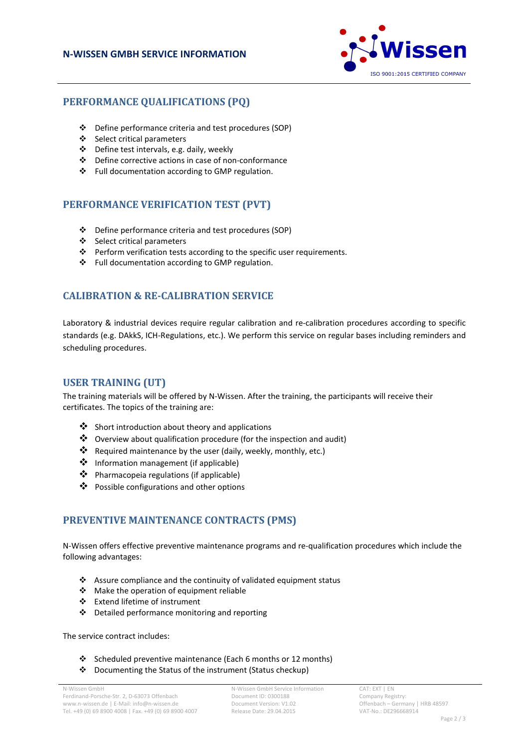

# **PERFORMANCE QUALIFICATIONS (PQ)**

- Define performance criteria and test procedures (SOP)
- Select critical parameters
- Define test intervals, e.g. daily, weekly
- Define corrective actions in case of non-conformance
- Full documentation according to GMP regulation.

### **PERFORMANCE VERIFICATION TEST (PVT)**

- Define performance criteria and test procedures (SOP)
- Select critical parameters
- $\cdot \cdot$  Perform verification tests according to the specific user requirements.
- Full documentation according to GMP regulation.

# **CALIBRATION & RE-CALIBRATION SERVICE**

Laboratory & industrial devices require regular calibration and re-calibration procedures according to specific standards (e.g. DAkkS, ICH-Regulations, etc.). We perform this service on regular bases including reminders and scheduling procedures.

# **USER TRAINING (UT)**

The training materials will be offered by N-Wissen. After the training, the participants will receive their certificates. The topics of the training are:

- $\clubsuit$  Short introduction about theory and applications
- $\clubsuit$  Overview about qualification procedure (for the inspection and audit)
- Required maintenance by the user (daily, weekly, monthly, etc.)
- Information management (if applicable)
- ❖ Pharmacopeia regulations (if applicable)
- ❖ Possible configurations and other options

# **PREVENTIVE MAINTENANCE CONTRACTS (PMS)**

N-Wissen offers effective preventive maintenance programs and re-qualification procedures which include the following advantages:

- $\triangle$  Assure compliance and the continuity of validated equipment status
- ❖ Make the operation of equipment reliable
- Extend lifetime of instrument
- Detailed performance monitoring and reporting

The service contract includes:

- Scheduled preventive maintenance (Each 6 months or 12 months)
- Documenting the Status of the instrument (Status checkup)